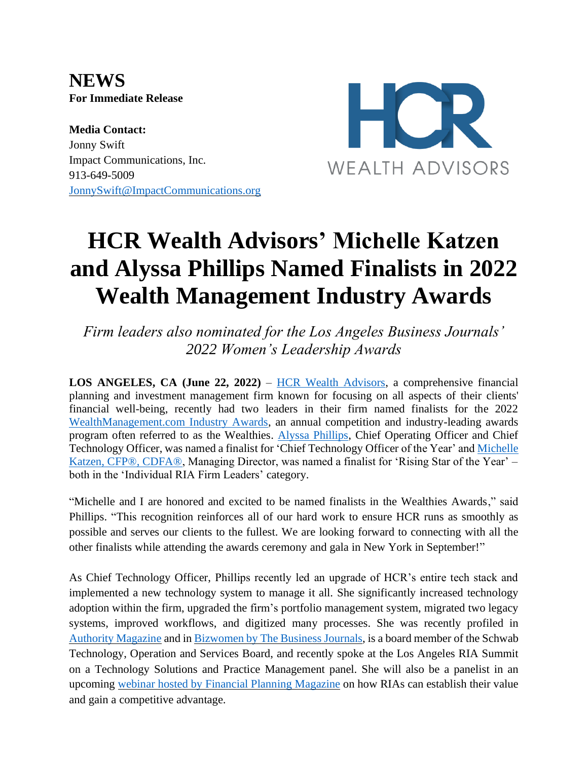**NEWS For Immediate Release**

**Media Contact:** Jonny Swift Impact Communications, Inc. 913-649-5009 [JonnySwift@ImpactCommunications.org](mailto:JonnySwift@ImpactCommunications.org)



## **HCR Wealth Advisors' Michelle Katzen and Alyssa Phillips Named Finalists in 2022 Wealth Management Industry Awards**

*Firm leaders also nominated for the Los Angeles Business Journals' 2022 Women's Leadership Awards*

**LOS ANGELES, CA (June 22, 2022)** – HCR [Wealth Advisors,](https://www.hcrwealth.com/) a comprehensive financial planning and investment management firm known for focusing on all aspects of their clients' financial well-being, recently had two leaders in their firm named finalists for the 2022 [WealthManagement.com](https://www.wealthmanagement.com/industry/wealthmanagementcom-announces-2022-wealthies-finalists) Industry Awards, an annual competition and industry-leading awards program often referred to as the Wealthies. [Alyssa Phillips,](https://www.hcrwealth.com/insights/team/alyssa-phillips/) Chief Operating Officer and Chief Technology Officer, was named a finalist for 'Chief Technology Officer of the Year' and [Michelle](https://www.hcrwealth.com/insights/team/michelle-katzen/)  [Katzen, CFP®, CDFA®,](https://www.hcrwealth.com/insights/team/michelle-katzen/) Managing Director, was named a finalist for 'Rising Star of the Year' – both in the 'Individual RIA Firm Leaders' category.

"Michelle and I are honored and excited to be named finalists in the Wealthies Awards," said Phillips. "This recognition reinforces all of our hard work to ensure HCR runs as smoothly as possible and serves our clients to the fullest. We are looking forward to connecting with all the other finalists while attending the awards ceremony and gala in New York in September!"

As Chief Technology Officer, Phillips recently led an upgrade of HCR's entire tech stack and implemented a new technology system to manage it all. She significantly increased technology adoption within the firm, upgraded the firm's portfolio management system, migrated two legacy systems, improved workflows, and digitized many processes. She was recently profiled in Authority [Magazine](https://medium.com/authority-magazine/alyssa-phillips-of-hcr-wealth-advisors-on-how-employers-and-employees-are-reworking-work-together-2adee2285c1) and in [Bizwomen](https://www.bizjournals.com/bizwomen/news/latest-news/2022/05/in-her-own-words-alyssa-phillips.html?page=all) by The Business Journals, is a board member of the Schwab Technology, Operation and Services Board, and recently spoke at the Los Angeles RIA Summit on a Technology Solutions and Practice Management panel. She will also be a panelist in an upcoming webinar hosted by Financial Planning [Magazine](https://www.financial-planning.com/web-seminars/why-you-how-rias-can-establish-their-value-to-gain-competitive-advantage) on how RIAs can establish their value and gain a competitive advantage.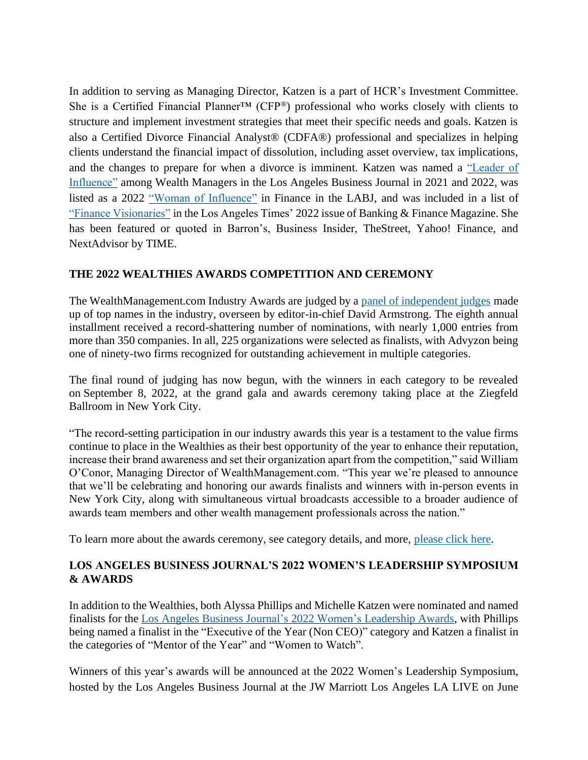In addition to serving as Managing Director, Katzen is a part of HCR's Investment Committee. She is a Certified Financial Planner™ (CFP®) professional who works closely with clients to structure and implement investment strategies that meet their specific needs and goals. Katzen is also a Certified Divorce Financial Analyst® (CDFA®) professional and specializes in helping clients understand the financial impact of dissolution, including asset overview, tax implications, and the changes to prepare for when a divorce is imminent. Katzen was named a ["Leader of](https://labusinessjournal.com/custom-content/leaders-of-influence/leaders-of-influence-wealth-managers-michelle-katzen/)  [Influence"](https://labusinessjournal.com/custom-content/leaders-of-influence/leaders-of-influence-wealth-managers-michelle-katzen/) among Wealth Managers in the Los Angeles Business Journal in 2021 and 2022, was listed as a 2022 ["Woman of Influence"](http://labusinessjournal.www.clients.ellingtoncms.com/news/2022/feb/21/women-influence-finance-michelle-katzen/) in Finance in the LABJ, and was included in a list of ["Finance Visionaries"](https://www.latimes.com/los-angeles-county-banking-and-finance-trends-updates-visionaries/michelle-katzen) in the Los Angeles Times' 2022 issue of Banking & Finance Magazine. She has been featured or quoted in Barron's, Business Insider, TheStreet, Yahoo! Finance, and NextAdvisor by TIME.

## **THE 2022 WEALTHIES AWARDS COMPETITION AND CEREMONY**

The WealthManagement.com Industry Awards are judged by a [panel of independent judges](https://www.wealthmanagement.com/wealthies-circle/wc21-meet-the-judges/) made up of top names in the industry, overseen by editor-in-chief David Armstrong. The eighth annual installment received a record-shattering number of nominations, with nearly 1,000 entries from more than 350 companies. In all, 225 organizations were selected as finalists, with Advyzon being one of ninety-two firms recognized for outstanding achievement in multiple categories.

The final round of judging has now begun, with the winners in each category to be revealed on September 8, 2022, at the grand gala and awards ceremony taking place at the Ziegfeld Ballroom in New York City.

"The record-setting participation in our industry awards this year is a testament to the value firms continue to place in the Wealthies as their best opportunity of the year to enhance their reputation, increase their brand awareness and set their organization apart from the competition," said William O'Conor, Managing Director of WealthManagement.com. "This year we're pleased to announce that we'll be celebrating and honoring our awards finalists and winners with in-person events in New York City, along with simultaneous virtual broadcasts accessible to a broader audience of awards team members and other wealth management professionals across the nation."

To learn more about the awards ceremony, see category details, and more, [please click here.](https://www.wealthmanagement.com/wealthies-circle/)

## **LOS ANGELES BUSINESS JOURNAL'S 2022 WOMEN'S LEADERSHIP SYMPOSIUM & AWARDS**

In addition to the Wealthies, both Alyssa Phillips and Michelle Katzen were nominated and named finalists for the Los Angeles Business Journal's 2022 Women's [Leadership](https://labusinessjournal.com/events/wsa2022/) Awards, with Phillips being named a finalist in the "Executive of the Year (Non CEO)" category and Katzen a finalist in the categories of "Mentor of the Year" and "Women to Watch".

Winners of this year's awards will be announced at the 2022 Women's Leadership Symposium, hosted by the Los Angeles Business Journal at the JW Marriott Los Angeles LA LIVE on June